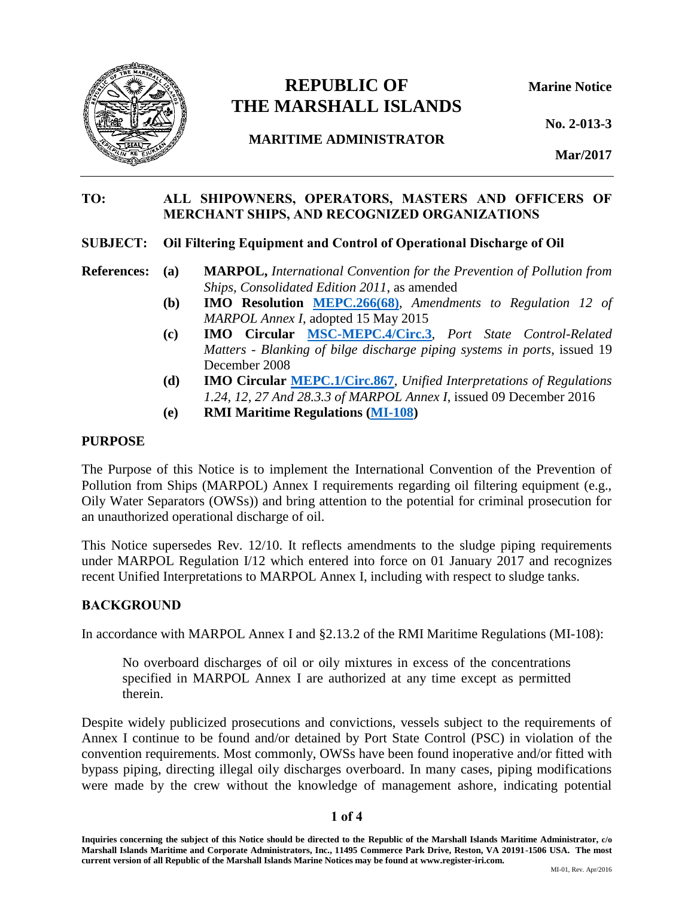

# **REPUBLIC OF Marine Notice THE MARSHALL ISLANDS**

**No. 2-013-3**

**MARITIME ADMINISTRATOR**

**Mar/2017**

## TO: ALL SHIPOWNERS, OPERATORS, MASTERS AND OFFICERS OF MERCHANT SHIPS, AND RECOGNIZED ORGANIZATIONS

## SUBJECT: Oil Filtering Equipment and Control of Operational Discharge of Oil

**References: (a) MARPOL,** *International Convention for the Prevention of Pollution from Ships, Consolidated Edition 2011*, as amended

- **(b) IMO Resolution [MEPC.266\(68\)](http://www.register-iri.com/forms/upload/MEPC_Resolution_266(68).pdf)**, *Amendments to Regulation 12 of MARPOL Annex I*, adopted 15 May 2015
- **(c) IMO Circular [MSC-MEPC.4/Circ.3](http://www.register-iri.com/forms/upload/MSC-MEPC.4-Circ.3.pdf)***, Port State Control-Related Matters - Blanking of bilge discharge piping systems in ports*, issued 19 December 2008
- **(d) IMO Circular [MEPC.1/Circ.867](http://www.register-iri.com/forms/upload/MEPC.1-Circ.867.pdf)**, *Unified Interpretations of Regulations 1.24, 12, 27 And 28.3.3 of MARPOL Annex I*, issued 09 December 2016
- **(e) RMI Maritime Regulations [\(MI-108\)](http://www.register-iri.com/forms/upload/MI-108.pdf)**

#### **PURPOSE**

The Purpose of this Notice is to implement the International Convention of the Prevention of Pollution from Ships (MARPOL) Annex I requirements regarding oil filtering equipment (e.g., Oily Water Separators (OWSs)) and bring attention to the potential for criminal prosecution for an unauthorized operational discharge of oil.

This Notice supersedes Rev. 12/10. It reflects amendments to the sludge piping requirements under MARPOL Regulation I/12 which entered into force on 01 January 2017 and recognizes recent Unified Interpretations to MARPOL Annex I, including with respect to sludge tanks.

## **BACKGROUND**

In accordance with MARPOL Annex I and §2.13.2 of the RMI Maritime Regulations (MI-108):

No overboard discharges of oil or oily mixtures in excess of the concentrations specified in MARPOL Annex I are authorized at any time except as permitted therein.

Despite widely publicized prosecutions and convictions, vessels subject to the requirements of Annex I continue to be found and/or detained by Port State Control (PSC) in violation of the convention requirements. Most commonly, OWSs have been found inoperative and/or fitted with bypass piping, directing illegal oily discharges overboard. In many cases, piping modifications were made by the crew without the knowledge of management ashore, indicating potential

## 1 of 4

**Inquiries concerning the subject of this Notice should be directed to the Republic of the Marshall Islands Maritime Administrator, c/o Marshall Islands Maritime and Corporate Administrators, Inc., 11495 Commerce Park Drive, Reston, VA 20191-1506 USA. The most current version of all Republic of the Marshall Islands Marine Notices may be found at www.register-iri.com.**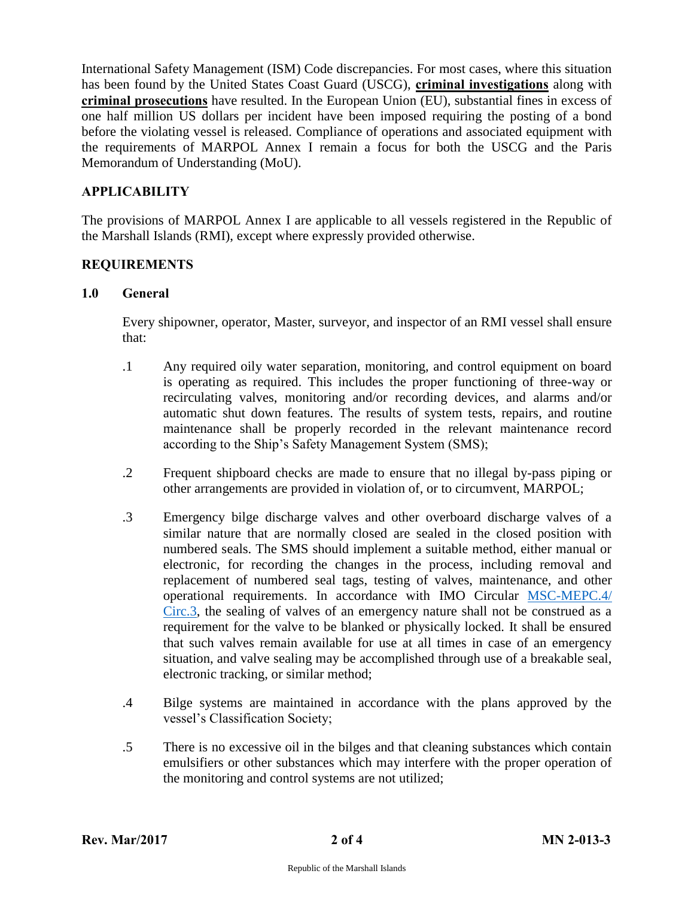International Safety Management (ISM) Code discrepancies. For most cases, where this situation has been found by the United States Coast Guard (USCG), criminal investigations along with criminal prosecutions have resulted. In the European Union (EU), substantial fines in excess of one half million US dollars per incident have been imposed requiring the posting of a bond before the violating vessel is released. Compliance of operations and associated equipment with the requirements of MARPOL Annex I remain a focus for both the USCG and the Paris Memorandum of Understanding (MoU).

## APPLICABILITY

The provisions of MARPOL Annex I are applicable to all vessels registered in the Republic of the Marshall Islands (RMI), except where expressly provided otherwise.

## REQUIREMENTS

## 1.0 General

Every shipowner, operator, Master, surveyor, and inspector of an RMI vessel shall ensure that:

- .1 Any required oily water separation, monitoring, and control equipment on board is operating as required. This includes the proper functioning of three-way or recirculating valves, monitoring and/or recording devices, and alarms and/or automatic shut down features. The results of system tests, repairs, and routine maintenance shall be properly recorded in the relevant maintenance record according to the Ship's Safety Management System (SMS);
- .2 Frequent shipboard checks are made to ensure that no illegal by-pass piping or other arrangements are provided in violation of, or to circumvent, MARPOL;
- .3 Emergency bilge discharge valves and other overboard discharge valves of a similar nature that are normally closed are sealed in the closed position with numbered seals. The SMS should implement a suitable method, either manual or electronic, for recording the changes in the process, including removal and replacement of numbered seal tags, testing of valves, maintenance, and other operational requirements. In accordance with IMO Circular [MSC-MEPC.4/](http://www.register-iri.com/forms/upload/MSC-MEPC.4-Circ.3.pdf) [Circ.3,](http://www.register-iri.com/forms/upload/MSC-MEPC.4-Circ.3.pdf) the sealing of valves of an emergency nature shall not be construed as a requirement for the valve to be blanked or physically locked. It shall be ensured that such valves remain available for use at all times in case of an emergency situation, and valve sealing may be accomplished through use of a breakable seal, electronic tracking, or similar method;
- .4 Bilge systems are maintained in accordance with the plans approved by the vessel's Classification Society;
- .5 There is no excessive oil in the bilges and that cleaning substances which contain emulsifiers or other substances which may interfere with the proper operation of the monitoring and control systems are not utilized;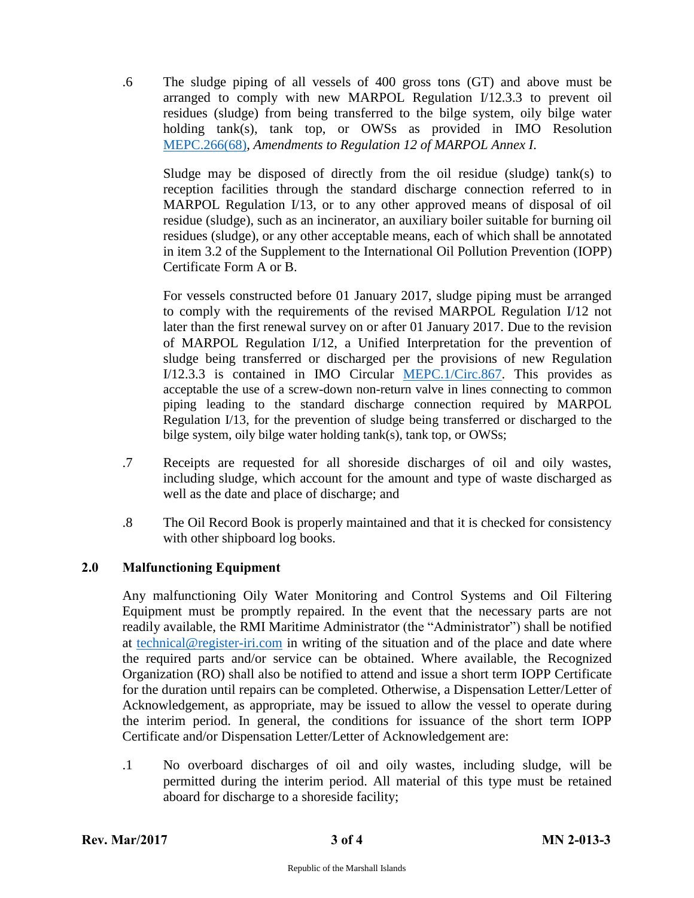.6 The sludge piping of all vessels of 400 gross tons (GT) and above must be arranged to comply with new MARPOL Regulation I/12.3.3 to prevent oil residues (sludge) from being transferred to the bilge system, oily bilge water holding tank(s), tank top, or OWSs as provided in IMO Resolution [MEPC.266\(68\),](http://www.register-iri.com/forms/upload/MEPC_Resolution_266(68).pdf) *Amendments to Regulation 12 of MARPOL Annex I*.

Sludge may be disposed of directly from the oil residue (sludge) tank(s) to reception facilities through the standard discharge connection referred to in MARPOL Regulation I/13, or to any other approved means of disposal of oil residue (sludge), such as an incinerator, an auxiliary boiler suitable for burning oil residues (sludge), or any other acceptable means, each of which shall be annotated in item 3.2 of the Supplement to the International Oil Pollution Prevention (IOPP) Certificate Form A or B.

For vessels constructed before 01 January 2017, sludge piping must be arranged to comply with the requirements of the revised MARPOL Regulation I/12 not later than the first renewal survey on or after 01 January 2017. Due to the revision of MARPOL Regulation I/12, a Unified Interpretation for the prevention of sludge being transferred or discharged per the provisions of new Regulation I/12.3.3 is contained in IMO Circular [MEPC.1/Circ.867.](http://www.register-iri.com/forms/upload/MEPC_Resolution_266(68).pdf) This provides as acceptable the use of a screw-down non-return valve in lines connecting to common piping leading to the standard discharge connection required by MARPOL Regulation I/13, for the prevention of sludge being transferred or discharged to the bilge system, oily bilge water holding tank(s), tank top, or OWSs;

- .7 Receipts are requested for all shoreside discharges of oil and oily wastes, including sludge, which account for the amount and type of waste discharged as well as the date and place of discharge; and
- .8 The Oil Record Book is properly maintained and that it is checked for consistency with other shipboard log books.

## 2.0 Malfunctioning Equipment

Any malfunctioning Oily Water Monitoring and Control Systems and Oil Filtering Equipment must be promptly repaired. In the event that the necessary parts are not readily available, the RMI Maritime Administrator (the "Administrator") shall be notified at [technical@register-iri.com](mailto:technical@register-iri.com) in writing of the situation and of the place and date where the required parts and/or service can be obtained. Where available, the Recognized Organization (RO) shall also be notified to attend and issue a short term IOPP Certificate for the duration until repairs can be completed. Otherwise, a Dispensation Letter/Letter of Acknowledgement, as appropriate, may be issued to allow the vessel to operate during the interim period. In general, the conditions for issuance of the short term IOPP Certificate and/or Dispensation Letter/Letter of Acknowledgement are:

.1 No overboard discharges of oil and oily wastes, including sludge, will be permitted during the interim period. All material of this type must be retained aboard for discharge to a shoreside facility;